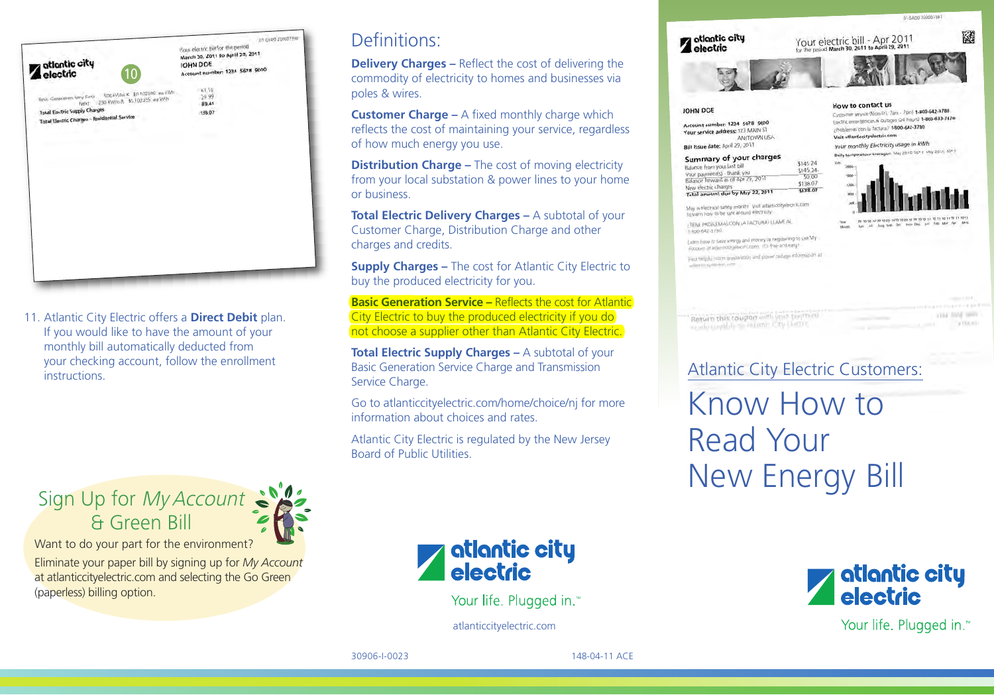

11. Atlantic City Electric offers a **Direct Debit** plan. If you would like to have the amount of your monthly bill automatically deducted from your checking account, follow the enrollment **instructions** 

Sign Up for *My Account* & Green Bill

Want to do your part for the environment?

Eliminate your paper bill by signing up for *My Account* at atlanticcityelectric.com and selecting the Go Green (paperless) billing option.

## Definitions:

**Delivery Charges –** Reflect the cost of delivering the commodity of electricity to homes and businesses via poles & wires.

**Customer Charge –** A fixed monthly charge which reflects the cost of maintaining your service, regardless of how much energy you use.

**Distribution Charge –** The cost of moving electricity from your local substation & power lines to your home or business.

**Total Electric Delivery Charges –** A subtotal of your Customer Charge, Distribution Charge and other charges and credits.

**Supply Charges –** The cost for Atlantic City Electric to buy the produced electricity for you.

**Basic Generation Service –** Reflects the cost for Atlantic City Electric to buy the produced electricity if you do not choose a supplier other than Atlantic City Electric.

**Total Electric Supply Charges –** A subtotal of your Basic Generation Service Charge and Transmission Service Charge.

Go to atlanticcityelectric.com/home/choice/nj for more information about choices and rates.

Atlantic City Electric is regulated by the New Jersey Board of Public Utilities.



I WAS PROBLEMAS CON LA FACTURA) LLAME AL 1.495-542-3785

Learn how to save every) and money by registering to use My Eggen how to seve energy and how it's free and easy! Find twipful starm preparation and power subger information at adjustication and

Return this coupon with your trajerant www.comple.com/site cabinets.com/

TH AADS 20000738

**VIAL TWO SHOT** 

 $+111.111$ 

Atlantic City Electric Customers: Know How to Read Your New Energy Bill



Your life. Plugged in.™

atlantic city<br>electric

Your life. Plugged in.™

atlanticcityelectric.com